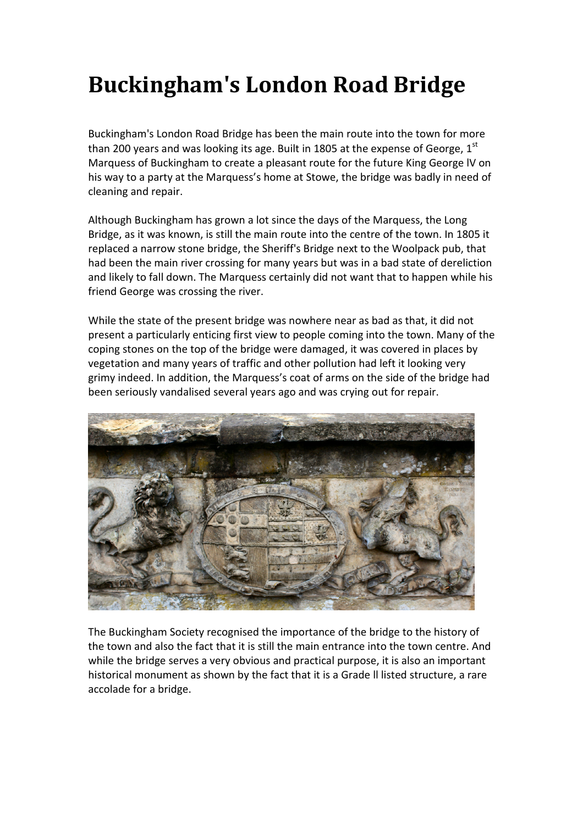## **Buckingham's London Road Bridge**

Buckingham's London Road Bridge has been the main route into the town for more than 200 years and was looking its age. Built in 1805 at the expense of George,  $1^{st}$ Marquess of Buckingham to create a pleasant route for the future King George lV on his way to a party at the Marquess's home at Stowe, the bridge was badly in need of cleaning and repair.

Although Buckingham has grown a lot since the days of the Marquess, the Long Bridge, as it was known, is still the main route into the centre of the town. In 1805 it replaced a narrow stone bridge, the Sheriff's Bridge next to the Woolpack pub, that had been the main river crossing for many years but was in a bad state of dereliction and likely to fall down. The Marquess certainly did not want that to happen while his friend George was crossing the river.

While the state of the present bridge was nowhere near as bad as that, it did not present a particularly enticing first view to people coming into the town. Many of the coping stones on the top of the bridge were damaged, it was covered in places by vegetation and many years of traffic and other pollution had left it looking very grimy indeed. In addition, the Marquess's coat of arms on the side of the bridge had been seriously vandalised several years ago and was crying out for repair.



The Buckingham Society recognised the importance of the bridge to the history of the town and also the fact that it is still the main entrance into the town centre. And while the bridge serves a very obvious and practical purpose, it is also an important historical monument as shown by the fact that it is a Grade ll listed structure, a rare accolade for a bridge.